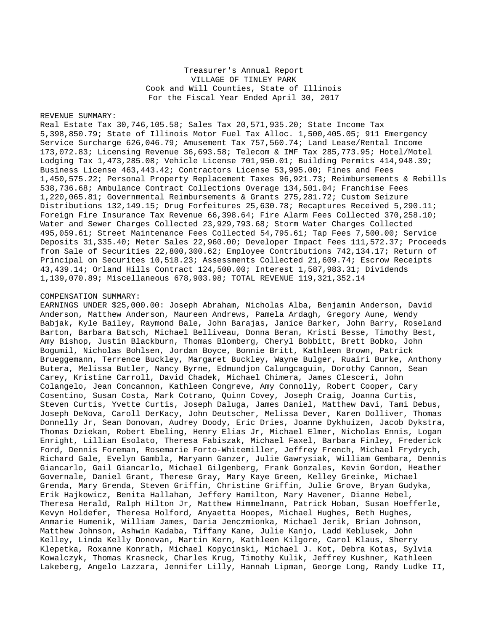Treasurer's Annual Report VILLAGE OF TINLEY PARK Cook and Will Counties, State of Illinois For the Fiscal Year Ended April 30, 2017

## REVENUE SUMMARY:

Real Estate Tax 30,746,105.58; Sales Tax 20,571,935.20; State Income Tax 5,398,850.79; State of Illinois Motor Fuel Tax Alloc. 1,500,405.05; 911 Emergency Service Surcharge 626,046.79; Amusement Tax 757,560.74; Land Lease/Rental Income 173,072.83; Licensing Revenue 36,693.58; Telecom & IMF Tax 285,773.95; Hotel/Motel Lodging Tax 1,473,285.08; Vehicle License 701,950.01; Building Permits 414,948.39; Business License 463,443.42; Contractors License 53,995.00; Fines and Fees 1,450,575.22; Personal Property Replacement Taxes 96,921.73; Reimbursements & Rebills 538,736.68; Ambulance Contract Collections Overage 134,501.04; Franchise Fees 1,220,065.81; Governmental Reimbursements & Grants 275,281.72; Custom Seizure Distributions 132,149.15; Drug Forfeitures 25,630.78; Recaptures Received 5,290.11; Foreign Fire Insurance Tax Revenue 66,398.64; Fire Alarm Fees Collected 370,258.10; Water and Sewer Charges Collected 23,929,793.68; Storm Water Charges Collected 495,059.61; Street Maintenance Fees Collected 54,795.61; Tap Fees 7,500.00; Service Deposits 31,335.40; Meter Sales 22,960.00; Developer Impact Fees 111,572.37; Proceeds from Sale of Securities 22,800,300.62; Employee Contributions 742,134.17; Return of Principal on Securites 10,518.23; Assessments Collected 21,609.74; Escrow Receipts 43,439.14; Orland Hills Contract 124,500.00; Interest 1,587,983.31; Dividends 1,139,070.89; Miscellaneous 678,903.98; TOTAL REVENUE 119,321,352.14

## COMPENSATION SUMMARY:

EARNINGS UNDER \$25,000.00: Joseph Abraham, Nicholas Alba, Benjamin Anderson, David Anderson, Matthew Anderson, Maureen Andrews, Pamela Ardagh, Gregory Aune, Wendy Babjak, Kyle Bailey, Raymond Bale, John Barajas, Janice Barker, John Barry, Roseland Barton, Barbara Batsch, Michael Belliveau, Donna Beran, Kristi Besse, Timothy Best, Amy Bishop, Justin Blackburn, Thomas Blomberg, Cheryl Bobbitt, Brett Bobko, John Bogumil, Nicholas Bohlsen, Jordan Boyce, Bonnie Britt, Kathleen Brown, Patrick Brueggemann, Terrence Buckley, Margaret Buckley, Wayne Bulger, Ruairi Burke, Anthony Butera, Melissa Butler, Nancy Byrne, Edmundjon Calungcaguin, Dorothy Cannon, Sean Carey, Kristine Carroll, David Chadek, Michael Chimera, James Clesceri, John Colangelo, Jean Concannon, Kathleen Congreve, Amy Connolly, Robert Cooper, Cary Cosentino, Susan Costa, Mark Cotrano, Quinn Covey, Joseph Craig, Joanna Curtis, Steven Curtis, Yvette Curtis, Joseph Daluga, James Daniel, Matthew Davi, Tami Debus, Joseph DeNova, Caroll DerKacy, John Deutscher, Melissa Dever, Karen Dolliver, Thomas Donnelly Jr, Sean Donovan, Audrey Doody, Eric Dries, Joanne Dykhuizen, Jacob Dykstra, Thomas Dziekan, Robert Ebeling, Henry Elias Jr, Michael Elmer, Nicholas Ennis, Logan Enright, Lillian Esolato, Theresa Fabiszak, Michael Faxel, Barbara Finley, Frederick Ford, Dennis Foreman, Rosemarie Forto-Whitemiller, Jeffrey French, Michael Frydrych, Richard Gale, Evelyn Gambla, Maryann Ganzer, Julie Gawrysiak, William Gembara, Dennis Giancarlo, Gail Giancarlo, Michael Gilgenberg, Frank Gonzales, Kevin Gordon, Heather Governale, Daniel Grant, Therese Gray, Mary Kaye Green, Kelley Greinke, Michael Grenda, Mary Grenda, Steven Griffin, Christine Griffin, Julie Grove, Bryan Gudyka, Erik Hajkowicz, Benita Hallahan, Jeffery Hamilton, Mary Havener, Dianne Hebel, Theresa Herald, Ralph Hilton Jr, Matthew Himmelmann, Patrick Hoban, Susan Hoefferle, Kevyn Holdefer, Theresa Holford, Anyaetta Hoopes, Michael Hughes, Beth Hughes, Anmarie Humenik, William James, Daria Jenczmionka, Michael Jerik, Brian Johnson, Matthew Johnson, Ashwin Kadaba, Tiffany Kane, Julie Kanjo, Ladd Keblusek, John Kelley, Linda Kelly Donovan, Martin Kern, Kathleen Kilgore, Carol Klaus, Sherry Klepetka, Roxanne Konrath, Michael Kopycinski, Michael J. Kot, Debra Kotas, Sylvia Kowalczyk, Thomas Krasneck, Charles Krug, Timothy Kulik, Jeffrey Kushner, Kathleen Lakeberg, Angelo Lazzara, Jennifer Lilly, Hannah Lipman, George Long, Randy Ludke II,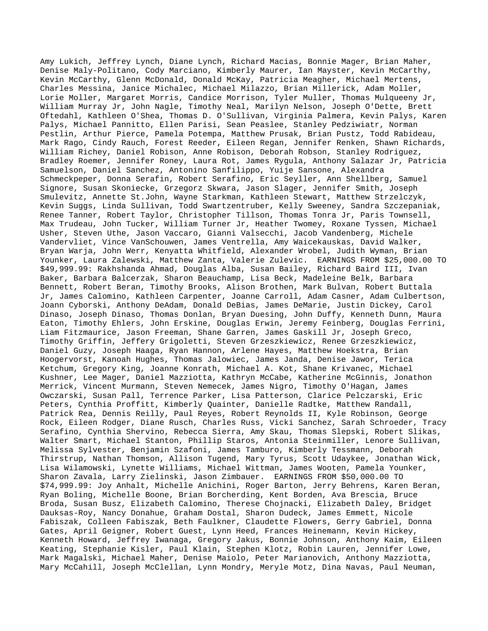Amy Lukich, Jeffrey Lynch, Diane Lynch, Richard Macias, Bonnie Mager, Brian Maher, Denise Maly-Politano, Cody Marciano, Kimberly Maurer, Ian Mayster, Kevin McCarthy, Kevin McCarthy, Glenn McDonald, Donald McKay, Patricia Meagher, Michael Mertens, Charles Messina, Janice Michalec, Michael Milazzo, Brian Millerick, Adam Moller, Lorie Moller, Margaret Morris, Candice Morrison, Tyler Muller, Thomas Mulqueeny Jr, William Murray Jr, John Nagle, Timothy Neal, Marilyn Nelson, Joseph O'Dette, Brett Oftedahl, Kathleen O'Shea, Thomas D. O'Sullivan, Virginia Palmera, Kevin Palys, Karen Palys, Michael Pannitto, Ellen Parisi, Sean Peaslee, Stanley Pedziwiatr, Norman Pestlin, Arthur Pierce, Pamela Potempa, Matthew Prusak, Brian Pustz, Todd Rabideau, Mark Rago, Cindy Rauch, Forest Reeder, Eileen Regan, Jennifer Renken, Shawn Richards, William Richey, Daniel Robison, Anne Robison, Deborah Robson, Stanley Rodriguez, Bradley Roemer, Jennifer Roney, Laura Rot, James Rygula, Anthony Salazar Jr, Patricia Samuelson, Daniel Sanchez, Antonino Sanfilippo, Yuije Sansone, Alexandra Schmeckpeper, Donna Serafin, Robert Serafino, Eric Seyller, Ann Shellberg, Samuel Signore, Susan Skoniecke, Grzegorz Skwara, Jason Slager, Jennifer Smith, Joseph Smulevitz, Annette St.John, Wayne Starkman, Kathleen Stewart, Matthew Strzelczyk, Kevin Suggs, Linda Sullivan, Todd Swartzentruber, Kelly Sweeney, Sandra Szczepaniak, Renee Tanner, Robert Taylor, Christopher Tillson, Thomas Tonra Jr, Paris Townsell, Max Trudeau, John Tucker, William Turner Jr, Heather Twomey, Roxane Tyssen, Michael Usher, Steven Uthe, Jason Vaccaro, Gianni Valsecchi, Jacob Vandenberg, Michele Vandervliet, Vince VanSchouwen, James Ventrella, Amy Waicekauskas, David Walker, Bryan Warja, John Werr, Kenyatta Whitfield, Alexander Wrobel, Judith Wyman, Brian Younker, Laura Zalewski, Matthew Zanta, Valerie Zulevic. EARNINGS FROM \$25,000.00 TO \$49,999.99: Rakhshanda Ahmad, Douglas Alba, Susan Bailey, Richard Baird III, Ivan Baker, Barbara Balcerzak, Sharon Beauchamp, Lisa Beck, Madeleine Belk, Barbara Bennett, Robert Beran, Timothy Brooks, Alison Brothen, Mark Bulvan, Robert Buttala Jr, James Calomino, Kathleen Carpenter, Joanne Carroll, Adam Casner, Adam Culbertson, Joann Cyborski, Anthony DeAdam, Donald DeBias, James DeMarie, Justin Dickey, Carol Dinaso, Joseph Dinaso, Thomas Donlan, Bryan Duesing, John Duffy, Kenneth Dunn, Maura Eaton, Timothy Ehlers, John Erskine, Douglas Erwin, Jeremy Feinberg, Douglas Ferrini, Liam Fitzmaurice, Jason Freeman, Shane Garren, James Gaskill Jr, Joseph Greco, Timothy Griffin, Jeffery Grigoletti, Steven Grzeszkiewicz, Renee Grzeszkiewicz, Daniel Guzy, Joseph Haaga, Ryan Hannon, Arlene Hayes, Matthew Hoekstra, Brian Hoogervorst, Kanoah Hughes, Thomas Jalowiec, James Janda, Denise Jawor, Terica Ketchum, Gregory King, Joanne Konrath, Michael A. Kot, Shane Krivanec, Michael Kushner, Lee Mager, Daniel Mazziotta, Kathryn McCabe, Katherine McGinnis, Jonathon Merrick, Vincent Murmann, Steven Nemecek, James Nigro, Timothy O'Hagan, James Owczarski, Susan Pall, Terrence Parker, Lisa Patterson, Clarice Pelczarski, Eric Peters, Cynthia Proffitt, Kimberly Quainter, Danielle Radtke, Matthew Randall, Patrick Rea, Dennis Reilly, Paul Reyes, Robert Reynolds II, Kyle Robinson, George Rock, Eileen Rodger, Diane Rusch, Charles Russ, Vicki Sanchez, Sarah Schroeder, Tracy Serafino, Cynthia Shervino, Rebecca Sierra, Amy Skau, Thomas Slepski, Robert Slikas, Walter Smart, Michael Stanton, Phillip Staros, Antonia Steinmiller, Lenore Sullivan, Melissa Sylvester, Benjamin Szafoni, James Tamburo, Kimberly Tessmann, Deborah Thirstrup, Nathan Thomson, Allison Tugend, Mary Tyrus, Scott Udaykee, Jonathan Wick, Lisa Wilamowski, Lynette Williams, Michael Wittman, James Wooten, Pamela Younker, Sharon Zavala, Larry Zielinski, Jason Zimbauer. EARNINGS FROM \$50,000.00 TO \$74,999.99: Joy Anhalt, Michelle Anichini, Roger Barton, Jerry Behrens, Karen Beran, Ryan Boling, Michelle Boone, Brian Borcherding, Kent Borden, Ava Brescia, Bruce Broda, Susan Busz, Elizabeth Calomino, Therese Chojnacki, Elizabeth Daley, Bridget Dauksas-Roy, Nancy Donahue, Graham Dostal, Sharon Dudeck, James Emmett, Nicole Fabiszak, Colleen Fabiszak, Beth Faulkner, Claudette Flowers, Gerry Gabriel, Donna Gates, April Geigner, Robert Guest, Lynn Heed, Frances Heinemann, Kevin Hickey, Kenneth Howard, Jeffrey Iwanaga, Gregory Jakus, Bonnie Johnson, Anthony Kaim, Eileen Keating, Stephanie Kisler, Paul Klain, Stephen Klotz, Robin Lauren, Jennifer Lowe, Mark Magalski, Michael Maher, Denise Maiolo, Peter Marianovich, Anthony Mazziotta, Mary McCahill, Joseph McClellan, Lynn Mondry, Meryle Motz, Dina Navas, Paul Neuman,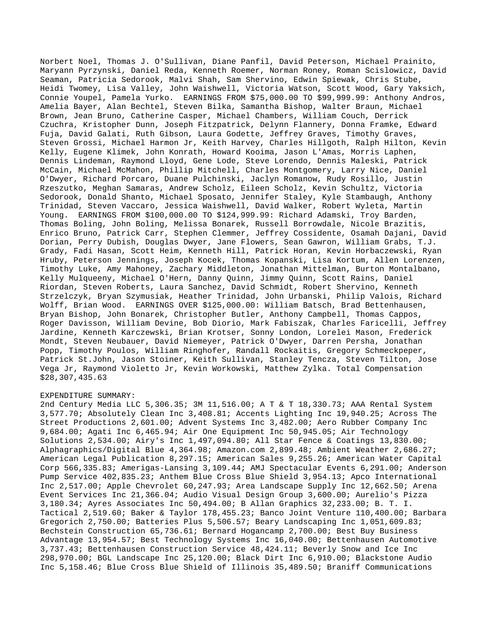Norbert Noel, Thomas J. O'Sullivan, Diane Panfil, David Peterson, Michael Prainito, Maryann Pyrzynski, Daniel Reda, Kenneth Roemer, Norman Roney, Roman Scislowicz, David Seaman, Patricia Sedorook, Malvi Shah, Sam Shervino, Edwin Spiewak, Chris Stube, Heidi Twomey, Lisa Valley, John Waishwell, Victoria Watson, Scott Wood, Gary Yaksich, Connie Youpel, Pamela Yurko. EARNINGS FROM \$75,000.00 TO \$99,999.99: Anthony Andros, Amelia Bayer, Alan Bechtel, Steven Bilka, Samantha Bishop, Walter Braun, Michael Brown, Jean Bruno, Catherine Casper, Michael Chambers, William Couch, Derrick Czuchra, Kristopher Dunn, Joseph Fitzpatrick, Delynn Flannery, Donna Framke, Edward Fuja, David Galati, Ruth Gibson, Laura Godette, Jeffrey Graves, Timothy Graves, Steven Grossi, Michael Harmon Jr, Keith Harvey, Charles Hillgoth, Ralph Hilton, Kevin Kelly, Eugene Klimek, John Konrath, Howard Kooima, Jason L'Amas, Morris Laphen, Dennis Lindeman, Raymond Lloyd, Gene Lode, Steve Lorendo, Dennis Maleski, Patrick McCain, Michael McMahon, Phillip Mitchell, Charles Montgomery, Larry Nice, Daniel O'Dwyer, Richard Porcaro, Duane Pulchinski, Jaclyn Romanow, Rudy Rosillo, Justin Rzeszutko, Meghan Samaras, Andrew Scholz, Eileen Scholz, Kevin Schultz, Victoria Sedorook, Donald Shanto, Michael Sposato, Jennifer Staley, Kyle Stambaugh, Anthony Trinidad, Steven Vaccaro, Jessica Waishwell, David Walker, Robert Wyleta, Martin Young. EARNINGS FROM \$100,000.00 TO \$124,999.99: Richard Adamski, Troy Barden, Thomas Boling, John Boling, Melissa Bonarek, Russell Borrowdale, Nicole Brazitis, Enrico Bruno, Patrick Carr, Stephen Clemmer, Jeffrey Cossidente, Osamah Dajani, David Dorian, Perry Dubish, Douglas Dwyer, Jane Flowers, Sean Gawron, William Grabs, T.J. Grady, Fadi Hasan, Scott Heim, Kenneth Hill, Patrick Horan, Kevin Horbaczewski, Ryan Hruby, Peterson Jennings, Joseph Kocek, Thomas Kopanski, Lisa Kortum, Allen Lorenzen, Timothy Luke, Amy Mahoney, Zachary Middleton, Jonathan Mittelman, Burton Montalbano, Kelly Mulqueeny, Michael O'Hern, Danny Quinn, Jimmy Quinn, Scott Rains, Daniel Riordan, Steven Roberts, Laura Sanchez, David Schmidt, Robert Shervino, Kenneth Strzelczyk, Bryan Szymusiak, Heather Trinidad, John Urbanski, Philip Valois, Richard Wolff, Brian Wood. EARNINGS OVER \$125,000.00: William Batsch, Brad Bettenhausen, Bryan Bishop, John Bonarek, Christopher Butler, Anthony Campbell, Thomas Cappos, Roger Davisson, William Devine, Bob Diorio, Mark Fabiszak, Charles Faricelli, Jeffrey Jardine, Kenneth Karczewski, Brian Krotser, Sonny London, Lorelei Mason, Frederick Mondt, Steven Neubauer, David Niemeyer, Patrick O'Dwyer, Darren Persha, Jonathan Popp, Timothy Poulos, William Ringhofer, Randall Rockaitis, Gregory Schmeckpeper, Patrick St.John, Jason Stoiner, Keith Sullivan, Stanley Tencza, Steven Tilton, Jose Vega Jr, Raymond Violetto Jr, Kevin Workowski, Matthew Zylka. Total Compensation \$28,307,435.63

## EXPENDITURE SUMMARY:

2nd Century Media LLC 5,306.35; 3M 11,516.00; A T & T 18,330.73; AAA Rental System 3,577.70; Absolutely Clean Inc 3,408.81; Accents Lighting Inc 19,940.25; Across The Street Productions 2,601.00; Advent Systems Inc 3,482.00; Aero Rubber Company Inc 9,684.00; Agati Inc 6,465.94; Air One Equipment Inc 50,945.05; Air Technology Solutions 2,534.00; Airy's Inc 1,497,094.80; All Star Fence & Coatings 13,830.00; Alphagraphics/Digital Blue 4,364.98; Amazon.com 2,899.48; Ambient Weather 2,686.27; American Legal Publication 8,297.15; American Sales 9,255.26; American Water Capital Corp 566,335.83; Amerigas-Lansing 3,109.44; AMJ Spectacular Events 6,291.00; Anderson Pump Service 402,835.23; Anthem Blue Cross Blue Shield 3,954.13; Apco International Inc 2,517.00; Apple Chevrolet 60,247.93; Area Landscape Supply Inc 12,662.50; Arena Event Services Inc 21,366.04; Audio Visual Design Group 3,600.00; Aurelio's Pizza 3,180.34; Ayres Associates Inc 50,494.00; B Allan Graphics 32,233.00; B. T. I. Tactical 2,519.60; Baker & Taylor 178,455.23; Banco Joint Venture 110,400.00; Barbara Gregorich 2,750.00; Batteries Plus 5,506.57; Beary Landscaping Inc 1,051,609.83; Bechstein Construction 65,736.61; Bernard Hogancamp 2,700.00; Best Buy Business Advantage 13,954.57; Best Technology Systems Inc 16,040.00; Bettenhausen Automotive 3,737.43; Bettenhausen Construction Service 48,424.11; Beverly Snow and Ice Inc 298,970.00; BGL Landscape Inc 25,120.00; Black Dirt Inc 6,910.00; Blackstone Audio Inc 5,158.46; Blue Cross Blue Shield of Illinois 35,489.50; Braniff Communications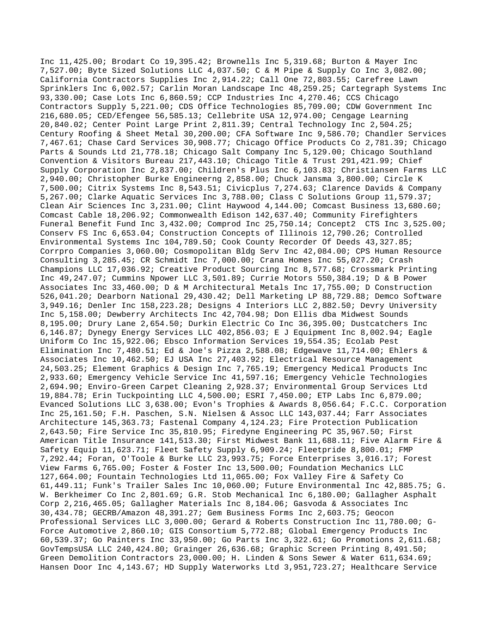Inc 11,425.00; Brodart Co 19,395.42; Brownells Inc 5,319.68; Burton & Mayer Inc 7,527.00; Byte Sized Solutions LLC 4,037.50; C & M Pipe & Supply Co Inc 3,082.00; California Contractors Supplies Inc 2,914.22; Call One 72,803.55; Carefree Lawn Sprinklers Inc 6,002.57; Carlin Moran Landscape Inc 48,259.25; Cartegraph Systems Inc 93,330.00; Case Lots Inc 6,860.59; CCP Industries Inc 4,270.46; CCS Chicago Contractors Supply 5,221.00; CDS Office Technologies 85,709.00; CDW Government Inc 216,680.05; CED/Efengee 56,585.13; Cellebrite USA 12,974.00; Cengage Learning 20,840.02; Center Point Large Print 2,811.39; Central Technology Inc 2,504.25; Century Roofing & Sheet Metal 30,200.00; CFA Software Inc 9,586.70; Chandler Services 7,467.61; Chase Card Services 30,908.77; Chicago Office Products Co 2,781.39; Chicago Parts & Sounds Ltd 21,778.18; Chicago Salt Company Inc 5,129.00; Chicago Southland Convention & Visitors Bureau 217,443.10; Chicago Title & Trust 291,421.99; Chief Supply Corporation Inc 2,837.00; Children's Plus Inc 6,103.83; Christiansen Farms LLC 2,940.00; Christopher Burke Engineerng 2,858.00; Chuck Jansma 3,800.00; Circle K 7,500.00; Citrix Systems Inc 8,543.51; Civicplus 7,274.63; Clarence Davids & Company 5,267.00; Clarke Aquatic Services Inc 3,788.00; Class C Solutions Group 11,579.37; Clean Air Sciences Inc 3,231.00; Clint Haywood 4,144.00; Comcast Business 13,680.60; Comcast Cable 18,206.92; Commonwealth Edison 142,637.40; Community Firefighters Funeral Benefit Fund Inc 3,432.00; Comprod Inc 25,750.14; Concept2 CTS Inc 3,525.00; Conserv FS Inc 6,653.04; Construction Concepts of Illinois 12,790.26; Controlled Environmental Systems Inc 104,789.50; Cook County Recorder Of Deeds 43,327.85; Corrpro Companies 3,060.00; Cosmopolitan Bldg Serv Inc 42,084.00; CPS Human Resource Consulting 3,285.45; CR Schmidt Inc 7,000.00; Crana Homes Inc 55,027.20; Crash Champions LLC 17,036.92; Creative Product Sourcing Inc 8,577.68; Crossmark Printing Inc 49,247.07; Cummins Npower LLC 3,501.89; Currie Motors 550,384.19; D & B Power Associates Inc 33,460.00; D & M Architectural Metals Inc 17,755.00; D Construction 526,041.20; Dearborn National 29,430.42; Dell Marketing LP 88,729.88; Demco Software 3,949.16; Denler Inc 158,223.28; Designs 4 Interiors LLC 2,882.50; Devry University Inc 5,158.00; Dewberry Architects Inc 42,704.98; Don Ellis dba Midwest Sounds 8,195.00; Drury Lane 2,654.50; Durkin Electric Co Inc 36,395.00; Dustcatchers Inc 6,146.87; Dynegy Energy Services LLC 402,856.03; E J Equipment Inc 8,002.94; Eagle Uniform Co Inc 15,922.06; Ebsco Information Services 19,554.35; Ecolab Pest Elimination Inc 7,480.51; Ed & Joe's Pizza 2,588.08; Edgewave 11,714.00; Ehlers & Associates Inc 10,462.50; EJ USA Inc 27,403.92; Electrical Resource Management 24,503.25; Element Graphics & Design Inc 7,765.19; Emergency Medical Products Inc 2,933.60; Emergency Vehicle Service Inc 41,597.16; Emergency Vehicle Technologies 2,694.90; Enviro-Green Carpet Cleaning 2,928.37; Environmental Group Services Ltd 19,884.78; Erin Tuckpointing LLC 4,500.00; ESRI 7,450.00; ETP Labs Inc 6,879.00; Evanced Solutions LLC 3,638.00; Evon's Trophies & Awards 8,056.64; F.C.C. Corporation Inc 25,161.50; F.H. Paschen, S.N. Nielsen & Assoc LLC 143,037.44; Farr Associates Architecture 145,363.73; Fastenal Company 4,124.23; Fire Protection Publication 2,643.50; Fire Service Inc 35,810.95; Firedyne Engineering PC 35,967.50; First American Title Insurance 141,513.30; First Midwest Bank 11,688.11; Five Alarm Fire & Safety Equip 11,623.71; Fleet Safety Supply 6,909.24; Fleetpride 8,800.01; FMP 7,292.44; Foran, O'Toole & Burke LLC 23,993.75; Force Enterprises 3,016.17; Forest View Farms 6,765.00; Foster & Foster Inc 13,500.00; Foundation Mechanics LLC 127,664.00; Fountain Technologies Ltd 11,065.00; Fox Valley Fire & Safety Co 61,449.11; Funk's Trailer Sales Inc 10,060.00; Future Environmental Inc 42,885.75; G. W. Berkheimer Co Inc 2,801.69; G.R. Stob Mechanical Inc 6,180.00; Gallagher Asphalt Corp 2,216,465.05; Gallagher Materials Inc 8,184.06; Gasvoda & Associates Inc 30,434.78; GECRB/Amazon 48,391.27; Gem Business Forms Inc 2,603.75; Geocon Professional Services LLC 3,000.00; Gerard & Roberts Construction Inc 11,780.00; G-Force Automotive 2,860.10; GIS Consortium 5,772.88; Global Emergency Products Inc 60,539.37; Go Painters Inc 33,950.00; Go Parts Inc 3,322.61; Go Promotions 2,611.68; GovTempsUSA LLC 240,424.80; Grainger 26,636.68; Graphic Screen Printing 8,491.50; Green Demolition Contractors 23,000.00; H. Linden & Sons Sewer & Water 611,634.69; Hansen Door Inc 4,143.67; HD Supply Waterworks Ltd 3,951,723.27; Healthcare Service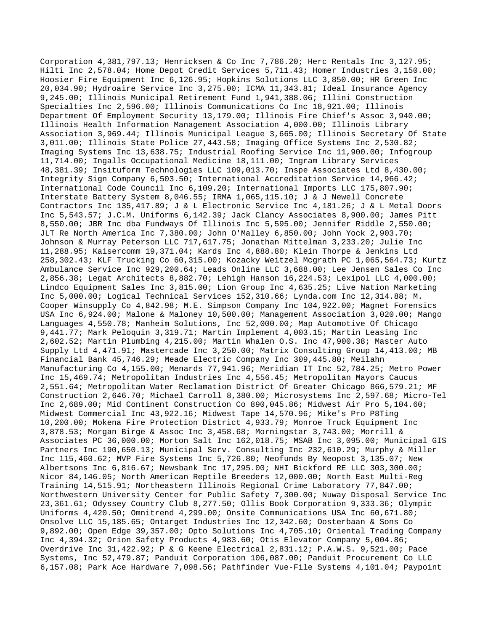Corporation 4,381,797.13; Henricksen & Co Inc 7,786.20; Herc Rentals Inc 3,127.95; Hilti Inc 2,578.04; Home Depot Credit Services 5,711.43; Homer Industries 3,150.00; Hoosier Fire Equipment Inc 6,126.95; Hopkins Solutions LLC 3,850.00; HR Green Inc 20,034.90; Hydroaire Service Inc 3,275.00; ICMA 11,343.81; Ideal Insurance Agency 9,245.00; Illinois Municipal Retirement Fund 1,941,388.06; Illini Construction Specialties Inc 2,596.00; Illinois Communications Co Inc 18,921.00; Illinois Department Of Employment Security 13,179.00; Illinois Fire Chief's Assoc 3,940.00; Illinois Health Information Management Association 4,000.00; Illinois Library Association 3,969.44; Illinois Municipal League 3,665.00; Illinois Secretary Of State 3,011.00; Illinois State Police 27,443.58; Imaging Office Systems Inc 2,530.82; Imaging Systems Inc 13,638.75; Industrial Roofing Service Inc 11,900.00; Infogroup 11,714.00; Ingalls Occupational Medicine 18,111.00; Ingram Library Services 48,381.39; Insituform Technologies LLC 109,013.70; Inspe Associates Ltd 8,430.00; Integrity Sign Company 6,503.50; International Accreditation Service 14,966.42; International Code Council Inc 6,109.20; International Imports LLC 175,807.90; Interstate Battery System 8,046.55; IRMA 1,065,115.10; J & J Newell Concrete Contractors Inc 135,417.89; J & L Electronic Service Inc 4,181.26; J & L Metal Doors Inc 5,543.57; J.C.M. Uniforms 6,142.39; Jack Clancy Associates 8,900.00; James Pitt 8,550.00; JBR Inc dba Fundways Of Illinois Inc 5,595.00; Jennifer Riddle 2,550.00; JLT Re North America Inc 7,380.00; John O'Malley 6,850.00; John Yock 2,903.70; Johnson & Murray Peterson LLC 717,617.75; Jonathan Mittelman 3,233.20; Julie Inc 11,288.95; Kaisercomm 19,371.04; Kards Inc 4,888.80; Klein Thorpe & Jenkins Ltd 258,302.43; KLF Trucking Co 60,315.00; Kozacky Weitzel Mcgrath PC 1,065,564.73; Kurtz Ambulance Service Inc 929,200.64; Leads Online LLC 3,688.00; Lee Jensen Sales Co Inc 2,856.38; Legat Architects 8,882.70; Lehigh Hanson 16,224.53; Lexipol LLC 4,000.00; Lindco Equipment Sales Inc 3,815.00; Lion Group Inc 4,635.25; Live Nation Marketing Inc 5,000.00; Logical Technical Services 152,310.66; Lynda.com Inc 12,314.88; M. Cooper Winsupply Co 4,842.98; M.E. Simpson Company Inc 104,922.00; Magnet Forensics USA Inc 6,924.00; Malone & Maloney 10,500.00; Management Association 3,020.00; Mango Languages 4,550.78; Manheim Solutions, Inc 52,000.00; Map Automotive Of Chicago 9,441.77; Mark Peloquin 3,319.71; Martin Implement 4,003.15; Martin Leasing Inc 2,602.52; Martin Plumbing 4,215.00; Martin Whalen O.S. Inc 47,900.38; Master Auto Supply Ltd 4,471.91; Mastercade Inc 3,250.00; Matrix Consulting Group 14,413.00; MB Financial Bank 45,746.29; Meade Electric Company Inc 309,445.80; Meilahn Manufacturing Co 4,155.00; Menards 77,941.96; Meridian IT Inc 52,784.25; Metro Power Inc 15,469.74; Metropolitan Industries Inc 4,556.45; Metropolitan Mayors Caucus 2,551.64; Metropolitan Water Reclamation District Of Greater Chicago 866,579.21; MF Construction 2,646.70; Michael Carroll 8,380.00; Microsystems Inc 2,597.68; Micro-Tel Inc 2,689.00; Mid Continent Construction Co 890,045.86; Midwest Air Pro 5,104.60; Midwest Commercial Inc 43,922.16; Midwest Tape 14,570.96; Mike's Pro P8Ting 10,200.00; Mokena Fire Protection District 4,933.79; Monroe Truck Equipment Inc 3,878.53; Morgan Birge & Assoc Inc 3,458.68; Morningstar 3,743.00; Morrill & Associates PC 36,000.00; Morton Salt Inc 162,018.75; MSAB Inc 3,095.00; Municipal GIS Partners Inc 190,650.13; Municipal Serv. Consulting Inc 232,610.29; Murphy & Miller Inc 115,460.62; MVP Fire Systems Inc 5,726.80; Neofunds By Neopost 3,135.07; New Albertsons Inc 6,816.67; Newsbank Inc 17,295.00; NHI Bickford RE LLC 303,300.00; Nicor 84,146.05; North American Reptile Breeders 12,000.00; North East Multi-Reg Training 14,515.91; Northeastern Illinois Regional Crime Laboratory 77,847.00; Northwestern University Center for Public Safety 7,300.00; Nuway Disposal Service Inc 23,361.61; Odyssey Country Club 8,277.50; Ollis Book Corporation 9,333.36; Olympic Uniforms 4,420.50; Omnitrend 4,299.00; Onsite Communications USA Inc 60,671.80; Onsolve LLC 15,185.65; Ontarget Industries Inc 12,342.60; Oosterbaan & Sons Co 9,892.00; Open Edge 39,357.00; Opto Solutions Inc 4,705.10; Oriental Trading Company Inc 4,394.32; Orion Safety Products 4,983.60; Otis Elevator Company 5,004.86; Overdrive Inc 31,422.92; P & G Keene Electrical 2,831.12; P.A.W.S. 9,521.00; Pace Systems, Inc 52,479.87; Panduit Corporation 106,087.00; Panduit Procurement Co LLC 6,157.08; Park Ace Hardware 7,098.56; Pathfinder Vue-File Systems 4,101.04; Paypoint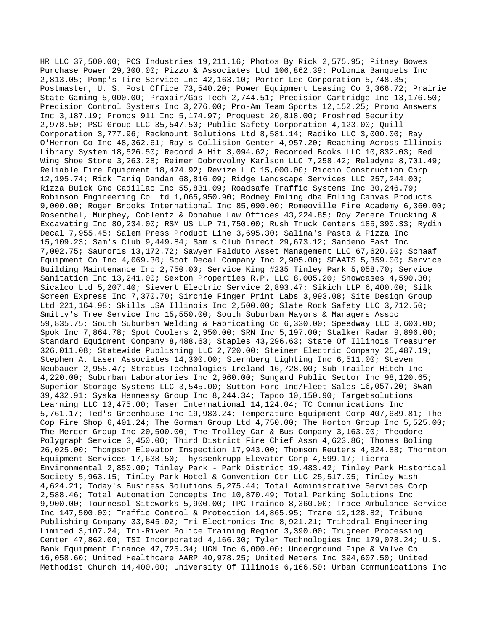HR LLC 37,500.00; PCS Industries 19,211.16; Photos By Rick 2,575.95; Pitney Bowes Purchase Power 29,300.00; Pizzo & Associates Ltd 106,862.39; Polonia Banquets Inc 2,813.05; Pomp's Tire Service Inc 42,163.10; Porter Lee Corporation 5,748.35; Postmaster, U. S. Post Office 73,540.20; Power Equipment Leasing Co 3,366.72; Prairie State Gaming 5,000.00; Praxair/Gas Tech 2,744.51; Precision Cartridge Inc 13,176.50; Precision Control Systems Inc 3,276.00; Pro-Am Team Sports 12,152.25; Promo Answers Inc 3,187.19; Promos 911 Inc 5,174.97; Proquest 20,818.00; Proshred Security 2,978.50; PSC Group LLC 35,547.50; Public Safety Corporation 4,123.00; Quill Corporation 3,777.96; Rackmount Solutions Ltd 8,581.14; Radiko LLC 3,000.00; Ray O'Herron Co Inc 48,362.61; Ray's Collision Center 4,957.20; Reaching Across Illinois Library System 18,526.50; Record A Hit 3,094.62; Recorded Books LLC 10,832.03; Red Wing Shoe Store 3,263.28; Reimer Dobrovolny Karlson LLC 7,258.42; Reladyne 8,701.49; Reliable Fire Equipment 18,474.92; Revize LLC 15,000.00; Riccio Construction Corp 12,195.74; Rick Tariq Dandan 68,816.09; Ridge Landscape Services LLC 257,244.00; Rizza Buick Gmc Cadillac Inc 55,831.09; Roadsafe Traffic Systems Inc 30,246.79; Robinson Engineering Co Ltd 1,065,950.90; Rodney Emling dba Emling Canvas Products 9,000.00; Roger Brooks International Inc 85,090.00; Romeoville Fire Academy 6,360.00; Rosenthal, Murphey, Coblentz & Donahue Law Offices 43,224.85; Roy Zenere Trucking & Excavating Inc 80,234.00; RSM US LLP 71,750.00; Rush Truck Centers 185,390.33; Rydin Decal 7,955.45; Salem Press Product Line 3,695.30; Salina's Pasta & Pizza Inc 15,109.23; Sam's Club 9,449.84; Sam's Club Direct 29,673.12; Sandeno East Inc 7,002.75; Saunoris 13,172.72; Sawyer Falduto Asset Management LLC 67,620.00; Schaaf Equipment Co Inc 4,069.30; Scot Decal Company Inc 2,905.00; SEAATS 5,359.00; Service Building Maintenance Inc 2,750.00; Service King #235 Tinley Park 5,058.70; Service Sanitation Inc 13,241.00; Sexton Properties R.P. LLC 8,005.20; Showcases 4,590.30; Sicalco Ltd 5,207.40; Sievert Electric Service 2,893.47; Sikich LLP 6,400.00; Silk Screen Express Inc 7,370.70; Sirchie Finger Print Labs 3,993.08; Site Design Group Ltd 221,164.98; Skills USA Illinois Inc 2,500.00; Slate Rock Safety LLC 3,712.50; Smitty's Tree Service Inc 15,550.00; South Suburban Mayors & Managers Assoc 59,835.75; South Suburban Welding & Fabricating Co 6,330.00; Speedway LLC 3,600.00; Spok Inc 7,864.78; Spot Coolers 2,950.00; SRN Inc 5,197.00; Stalker Radar 9,896.00; Standard Equipment Company 8,488.63; Staples 43,296.63; State Of Illinois Treasurer 326,011.08; Statewide Publishing LLC 2,720.00; Steiner Electric Company 25,487.19; Stephen A. Laser Associates 14,300.00; Sternberg Lighting Inc 6,511.00; Steven Neubauer 2,955.47; Stratus Technologies Ireland 16,728.00; Sub Trailer Hitch Inc 4,220.00; Suburban Laboratories Inc 2,960.00; Sungard Public Sector Inc 98,120.65; Superior Storage Systems LLC 3,545.00; Sutton Ford Inc/Fleet Sales 16,057.20; Swan 39,432.91; Syska Hennessy Group Inc 8,244.34; Tapco 10,150.90; Targetsolutions Learning LLC 13,475.00; Taser International 14,124.04; TC Communications Inc 5,761.17; Ted's Greenhouse Inc 19,983.24; Temperature Equipment Corp 407,689.81; The Cop Fire Shop 6,401.24; The Gorman Group Ltd 4,750.00; The Horton Group Inc 5,525.00; The Mercer Group Inc 20,500.00; The Trolley Car & Bus Company 3,163.00; Theodore Polygraph Service 3,450.00; Third District Fire Chief Assn 4,623.86; Thomas Boling 26,025.00; Thompson Elevator Inspection 17,943.00; Thomson Reuters 4,824.88; Thornton Equipment Services 17,638.50; Thyssenkrupp Elevator Corp 4,599.17; Tierra Environmental 2,850.00; Tinley Park - Park District 19,483.42; Tinley Park Historical Society 5,963.15; Tinley Park Hotel & Convention Ctr LLC 25,517.05; Tinley Wish 4,624.21; Today's Business Solutions 5,275.44; Total Administrative Services Corp 2,588.46; Total Automation Concepts Inc 10,870.49; Total Parking Solutions Inc 9,900.00; Tournesol Siteworks 5,900.00; TPC Trainco 8,360.00; Trace Ambulance Service Inc 147,500.00; Traffic Control & Protection 14,865.95; Trane 12,128.82; Tribune Publishing Company 33,845.02; Tri-Electronics Inc 8,921.21; Trihedral Engineering Limited 3,107.24; Tri-River Police Training Region 3,390.00; Trugreen Processing Center 47,862.00; TSI Incorporated 4,166.30; Tyler Technologies Inc 179,078.24; U.S. Bank Equipment Finance 47,725.34; UGN Inc 6,000.00; Underground Pipe & Valve Co 16,058.60; United Healthcare AARP 40,978.25; United Meters Inc 394,607.50; United Methodist Church 14,400.00; University Of Illinois 6,166.50; Urban Communications Inc